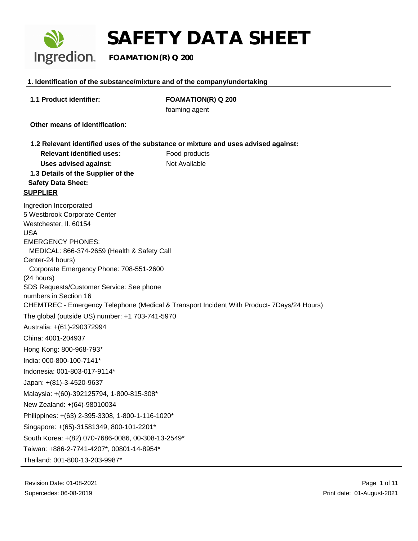

# **SAFETY DATA SHEET**<br>Ingredion. FOAMATION(R) Q 200

 **FOAMATION(R) Q 200**

### **1. Identification of the substance/mixture and of the company/undertaking**

| 1.1 Product identifier:                                           | <b>FOAMATION(R) Q 200</b>                                                                  |  |  |  |
|-------------------------------------------------------------------|--------------------------------------------------------------------------------------------|--|--|--|
|                                                                   | foaming agent                                                                              |  |  |  |
| Other means of identification:                                    |                                                                                            |  |  |  |
|                                                                   | 1.2 Relevant identified uses of the substance or mixture and uses advised against:         |  |  |  |
| <b>Relevant identified uses:</b>                                  | Food products                                                                              |  |  |  |
| <b>Uses advised against:</b>                                      | Not Available                                                                              |  |  |  |
| 1.3 Details of the Supplier of the<br><b>Safety Data Sheet:</b>   |                                                                                            |  |  |  |
| <b>SUPPLIER</b>                                                   |                                                                                            |  |  |  |
| Ingredion Incorporated                                            |                                                                                            |  |  |  |
| 5 Westbrook Corporate Center                                      |                                                                                            |  |  |  |
| Westchester, II. 60154                                            |                                                                                            |  |  |  |
| <b>USA</b><br><b>EMERGENCY PHONES:</b>                            |                                                                                            |  |  |  |
| MEDICAL: 866-374-2659 (Health & Safety Call                       |                                                                                            |  |  |  |
| Center-24 hours)                                                  |                                                                                            |  |  |  |
| Corporate Emergency Phone: 708-551-2600                           |                                                                                            |  |  |  |
| (24 hours)                                                        |                                                                                            |  |  |  |
| SDS Requests/Customer Service: See phone<br>numbers in Section 16 |                                                                                            |  |  |  |
|                                                                   | CHEMTREC - Emergency Telephone (Medical & Transport Incident With Product- 7Days/24 Hours) |  |  |  |
| The global (outside US) number: +1 703-741-5970                   |                                                                                            |  |  |  |
| Australia: +(61)-290372994                                        |                                                                                            |  |  |  |
| China: 4001-204937                                                |                                                                                            |  |  |  |
| Hong Kong: 800-968-793*                                           |                                                                                            |  |  |  |
| India: 000-800-100-7141*                                          |                                                                                            |  |  |  |
| Indonesia: 001-803-017-9114*                                      |                                                                                            |  |  |  |
| Japan: +(81)-3-4520-9637                                          |                                                                                            |  |  |  |
| Malaysia: +(60)-392125794, 1-800-815-308*                         |                                                                                            |  |  |  |
| New Zealand: +(64)-98010034                                       |                                                                                            |  |  |  |
| Philippines: +(63) 2-395-3308, 1-800-1-116-1020*                  |                                                                                            |  |  |  |
| Singapore: +(65)-31581349, 800-101-2201*                          |                                                                                            |  |  |  |
| South Korea: +(82) 070-7686-0086, 00-308-13-2549*                 |                                                                                            |  |  |  |
| Taiwan: +886-2-7741-4207*, 00801-14-8954*                         |                                                                                            |  |  |  |
| Thailand: 001-800-13-203-9987*                                    |                                                                                            |  |  |  |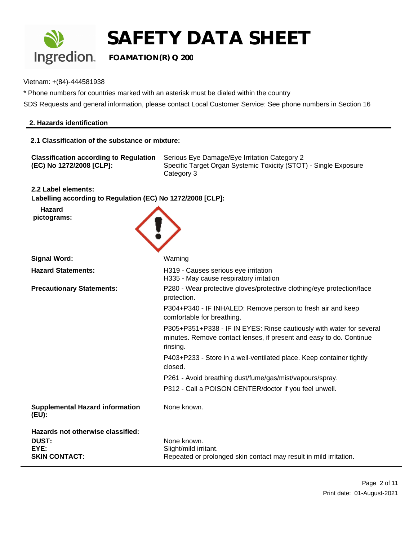

Vietnam: +(84)-444581938

\* Phone numbers for countries marked with an asterisk must be dialed within the country

SDS Requests and general information, please contact Local Customer Service: See phone numbers in Section 16

#### **2. Hazards identification**

#### **2.1 Classification of the substance or mixture:**

| <b>Classification according to Regulation</b> | Serious Eye Damage/Eye Irritation Category 2                                   |
|-----------------------------------------------|--------------------------------------------------------------------------------|
| (EC) No 1272/2008 [CLP]:                      | Specific Target Organ Systemic Toxicity (STOT) - Single Exposure<br>Category 3 |

**2.2 Label elements:**

**Labelling according to Regulation (EC) No 1272/2008 [CLP]:**

**Hazard pictograms:**



| <b>Signal Word:</b>                             | Warning                                                                                                                                                 |
|-------------------------------------------------|---------------------------------------------------------------------------------------------------------------------------------------------------------|
| <b>Hazard Statements:</b>                       | H319 - Causes serious eye irritation<br>H335 - May cause respiratory irritation                                                                         |
| <b>Precautionary Statements:</b>                | P280 - Wear protective gloves/protective clothing/eye protection/face<br>protection.                                                                    |
|                                                 | P304+P340 - IF INHALED: Remove person to fresh air and keep<br>comfortable for breathing.                                                               |
|                                                 | P305+P351+P338 - IF IN EYES: Rinse cautiously with water for several<br>minutes. Remove contact lenses, if present and easy to do. Continue<br>rinsing. |
|                                                 | P403+P233 - Store in a well-ventilated place. Keep container tightly<br>closed.                                                                         |
|                                                 | P261 - Avoid breathing dust/fume/gas/mist/vapours/spray.                                                                                                |
|                                                 | P312 - Call a POISON CENTER/doctor if you feel unwell.                                                                                                  |
| <b>Supplemental Hazard information</b><br>(EU): | None known.                                                                                                                                             |
| Hazards not otherwise classified:               |                                                                                                                                                         |
| <b>DUST:</b>                                    | None known.                                                                                                                                             |
| EYE:<br><b>SKIN CONTACT:</b>                    | Slight/mild irritant.                                                                                                                                   |
|                                                 | Repeated or prolonged skin contact may result in mild irritation.                                                                                       |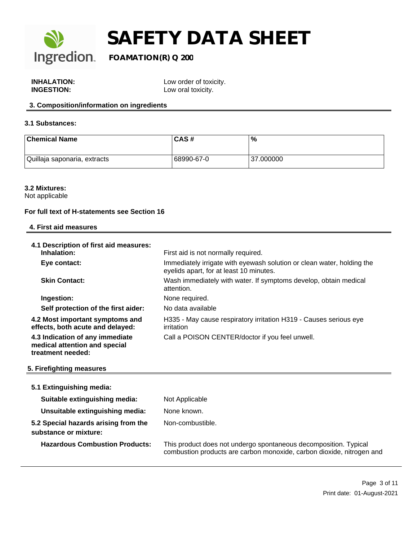

| <b>INHALATION:</b> |  |
|--------------------|--|
| <b>INGESTION:</b>  |  |

Low order of toxicity. Low oral toxicity.

## **3. Composition/information on ingredients**

#### **3.1 Substances:**

| <b>Chemical Name</b>         | CAS#       | $\%$      |
|------------------------------|------------|-----------|
| Quillaja saponaria, extracts | 68990-67-0 | 37.000000 |

#### **3.2 Mixtures:**

Not applicable

#### **For full text of H-statements see Section 16**

| 4. First aid measures                                                                 |                                                                                                                   |
|---------------------------------------------------------------------------------------|-------------------------------------------------------------------------------------------------------------------|
| 4.1 Description of first aid measures:<br>Inhalation:                                 | First aid is not normally required.                                                                               |
| Eye contact:                                                                          | Immediately irrigate with eyewash solution or clean water, holding the<br>eyelids apart, for at least 10 minutes. |
| <b>Skin Contact:</b>                                                                  | Wash immediately with water. If symptoms develop, obtain medical<br>attention.                                    |
| Ingestion:                                                                            | None required.                                                                                                    |
| Self protection of the first aider:                                                   | No data available                                                                                                 |
| 4.2 Most important symptoms and<br>effects, both acute and delayed:                   | H335 - May cause respiratory irritation H319 - Causes serious eye<br>irritation                                   |
| 4.3 Indication of any immediate<br>medical attention and special<br>treatment needed: | Call a POISON CENTER/doctor if you feel unwell.                                                                   |

### **5. Firefighting measures**

|  |  | 5.1 Extinguishing media: |
|--|--|--------------------------|
|  |  |                          |

| Suitable extinguishing media:                                 | Not Applicable                                                                                                                            |
|---------------------------------------------------------------|-------------------------------------------------------------------------------------------------------------------------------------------|
| Unsuitable extinguishing media:                               | None known.                                                                                                                               |
| 5.2 Special hazards arising from the<br>substance or mixture: | Non-combustible.                                                                                                                          |
| <b>Hazardous Combustion Products:</b>                         | This product does not undergo spontaneous decomposition. Typical<br>combustion products are carbon monoxide, carbon dioxide, nitrogen and |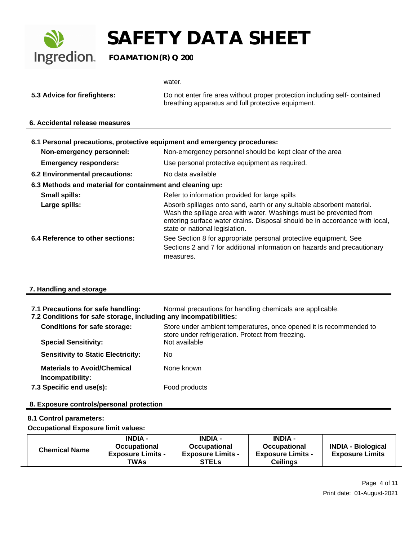

**5.3 Advice for firefighters:** Do not enter fire area without proper protection including self- contained breathing apparatus and full protective equipment.

#### **6. Accidental release measures**

| 6.1 Personal precautions, protective equipment and emergency procedures:<br>Non-emergency personnel: | Non-emergency personnel should be kept clear of the area                                                                                                                                                                                                     |
|------------------------------------------------------------------------------------------------------|--------------------------------------------------------------------------------------------------------------------------------------------------------------------------------------------------------------------------------------------------------------|
| <b>Emergency responders:</b>                                                                         | Use personal protective equipment as required.                                                                                                                                                                                                               |
| 6.2 Environmental precautions:                                                                       | No data available                                                                                                                                                                                                                                            |
| 6.3 Methods and material for containment and cleaning up:                                            |                                                                                                                                                                                                                                                              |
| <b>Small spills:</b>                                                                                 | Refer to information provided for large spills                                                                                                                                                                                                               |
| Large spills:                                                                                        | Absorb spillages onto sand, earth or any suitable absorbent material.<br>Wash the spillage area with water. Washings must be prevented from<br>entering surface water drains. Disposal should be in accordance with local,<br>state or national legislation. |
| 6.4 Reference to other sections:                                                                     | See Section 8 for appropriate personal protective equipment. See<br>Sections 2 and 7 for additional information on hazards and precautionary<br>measures.                                                                                                    |

### **7. Handling and storage**

**7.1 Precautions for safe handling:** Normal precautions for handling chemicals are applicable.

|  | 7.2 Conditions for safe storage, including any incompatibilities: |  |  |  |
|--|-------------------------------------------------------------------|--|--|--|
|  |                                                                   |  |  |  |

| <b>Conditions for safe storage:</b>                    | Store under ambient temperatures, once opened it is recommended to<br>store under refrigeration. Protect from freezing. |
|--------------------------------------------------------|-------------------------------------------------------------------------------------------------------------------------|
| <b>Special Sensitivity:</b>                            | Not available                                                                                                           |
| <b>Sensitivity to Static Electricity:</b>              | No                                                                                                                      |
| <b>Materials to Avoid/Chemical</b><br>Incompatibility: | None known                                                                                                              |
| 7.3 Specific end use(s):                               | Food products                                                                                                           |

### **8. Exposure controls/personal protection**

### **8.1 Control parameters:**

**Occupational Exposure limit values:**

| <b>Chemical Name</b> | <b>INDIA -</b>           | <b>INDIA -</b>           | <b>INDIA -</b>           |                           |
|----------------------|--------------------------|--------------------------|--------------------------|---------------------------|
|                      | <b>Occupational</b>      | <b>Occupational</b>      | <b>Occupational</b>      | <b>INDIA - Biological</b> |
|                      | <b>Exposure Limits -</b> | <b>Exposure Limits -</b> | <b>Exposure Limits -</b> | <b>Exposure Limits</b>    |
|                      | TWAs                     | <b>STELs</b>             | Ceilings                 |                           |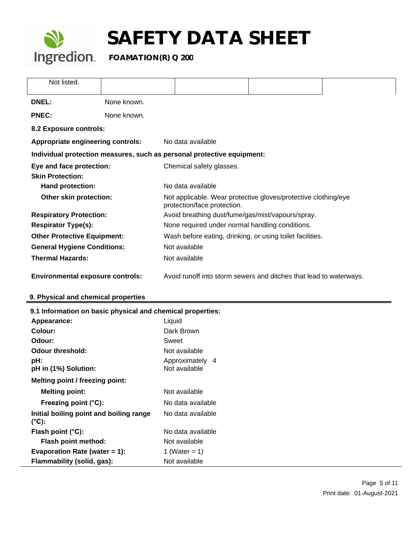

| Not listed.                              |             |                                                                                               |  |  |  |
|------------------------------------------|-------------|-----------------------------------------------------------------------------------------------|--|--|--|
| <b>DNEL:</b>                             | None known. |                                                                                               |  |  |  |
| <b>PNEC:</b>                             | None known. |                                                                                               |  |  |  |
| 8.2 Exposure controls:                   |             |                                                                                               |  |  |  |
| <b>Appropriate engineering controls:</b> |             | No data available                                                                             |  |  |  |
|                                          |             | Individual protection measures, such as personal protective equipment:                        |  |  |  |
| Eye and face protection:                 |             | Chemical safety glasses.                                                                      |  |  |  |
| <b>Skin Protection:</b>                  |             |                                                                                               |  |  |  |
| Hand protection:                         |             | No data available                                                                             |  |  |  |
| Other skin protection:                   |             | Not applicable. Wear protective gloves/protective clothing/eye<br>protection/face protection. |  |  |  |
| <b>Respiratory Protection:</b>           |             | Avoid breathing dust/fume/gas/mist/vapours/spray.                                             |  |  |  |
| <b>Respirator Type(s):</b>               |             | None required under normal handling conditions.                                               |  |  |  |
| <b>Other Protective Equipment:</b>       |             | Wash before eating, drinking, or using toilet facilities.                                     |  |  |  |
| <b>General Hygiene Conditions:</b>       |             | Not available                                                                                 |  |  |  |
| <b>Thermal Hazards:</b>                  |             | Not available                                                                                 |  |  |  |
| <b>Environmental exposure controls:</b>  |             | Avoid runoff into storm sewers and ditches that lead to waterways.                            |  |  |  |

## **9. Physical and chemical properties**

| 9.1 Information on basic physical and chemical properties: |                                  |  |
|------------------------------------------------------------|----------------------------------|--|
| Appearance:                                                | Liquid                           |  |
| Colour:                                                    | Dark Brown                       |  |
| Odour:                                                     | Sweet                            |  |
| <b>Odour threshold:</b>                                    | Not available                    |  |
| pH:<br>pH in (1%) Solution:                                | Approximately 4<br>Not available |  |
| Melting point / freezing point:                            |                                  |  |
| <b>Melting point:</b>                                      | Not available                    |  |
| Freezing point (°C):                                       | No data available                |  |
| Initial boiling point and boiling range<br>$(^{\circ}C)$ : | No data available                |  |
| Flash point $(^{\circ}C)$ :                                | No data available                |  |
| Flash point method:                                        | Not available                    |  |
| Evaporation Rate (water $= 1$ ):                           | 1 (Water = 1)                    |  |
| Flammability (solid, gas):                                 | Not available                    |  |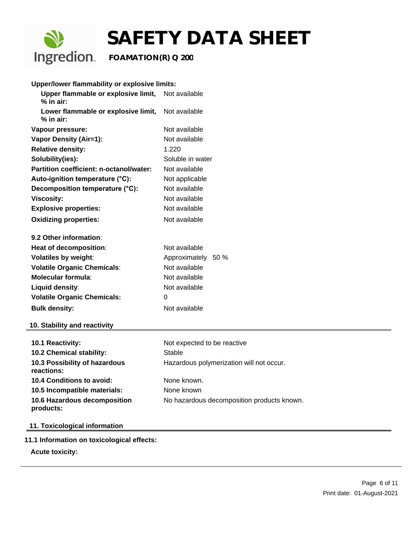

| Upper/lower flammability or explosive limits:                    |                    |  |
|------------------------------------------------------------------|--------------------|--|
| Upper flammable or explosive limit, Not available<br>$%$ in air: |                    |  |
| Lower flammable or explosive limit, Not available<br>$%$ in air: |                    |  |
| Vapour pressure:                                                 | Not available      |  |
| <b>Vapor Density (Air=1):</b>                                    | Not available      |  |
| <b>Relative density:</b>                                         | 1.220              |  |
| Solubility(ies):                                                 | Soluble in water   |  |
| Partition coefficient: n-octanol/water:                          | Not available      |  |
| Auto-ignition temperature (°C):                                  | Not applicable     |  |
| Decomposition temperature (°C):<br>Not available                 |                    |  |
| <b>Viscosity:</b>                                                | Not available      |  |
| <b>Explosive properties:</b>                                     | Not available      |  |
| <b>Oxidizing properties:</b>                                     | Not available      |  |
| 9.2 Other information:                                           |                    |  |
| Heat of decomposition:                                           | Not available      |  |
| <b>Volatiles by weight:</b>                                      | Approximately 50 % |  |
| <b>Volatile Organic Chemicals:</b>                               | Not available      |  |
| Molecular formula:                                               | Not available      |  |
| Liquid density:                                                  | Not available      |  |
| <b>Volatile Organic Chemicals:</b>                               | 0                  |  |
| <b>Bulk density:</b>                                             | Not available      |  |

#### **10. Stability and reactivity**

| <b>10.1 Reactivity:</b>                     | Not expected to be reactive                |
|---------------------------------------------|--------------------------------------------|
| 10.2 Chemical stability:                    | Stable                                     |
| 10.3 Possibility of hazardous<br>reactions: | Hazardous polymerization will not occur.   |
| 10.4 Conditions to avoid:                   | None known.                                |
| 10.5 Incompatible materials:                | None known                                 |
| 10.6 Hazardous decomposition<br>products:   | No hazardous decomposition products known. |

## **11. Toxicological information**

**11.1 Information on toxicological effects:**

**Acute toxicity:**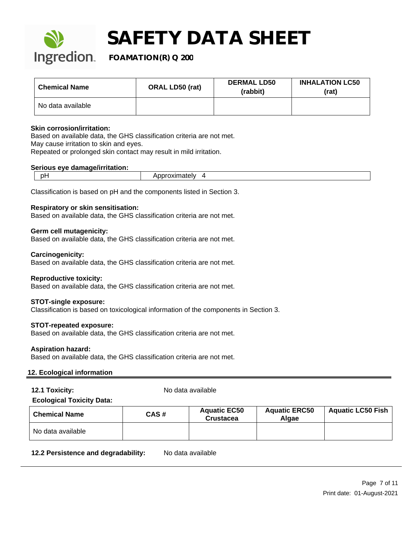

**Ingredion** FOAMATION(R) Q 200

| <b>Chemical Name</b> | <b>ORAL LD50 (rat)</b> | <b>DERMAL LD50</b><br>(rabbit) | <b>INHALATION LC50</b><br>(rat) |
|----------------------|------------------------|--------------------------------|---------------------------------|
| No data available    |                        |                                |                                 |

#### **Skin corrosion/irritation:**

Based on available data, the GHS classification criteria are not met. May cause irritation to skin and eyes. Repeated or prolonged skin contact may result in mild irritation.

#### **Serious eye damage/irritation:**

Classification is based on pH and the components listed in Section 3.

#### **Respiratory or skin sensitisation:**

Based on available data, the GHS classification criteria are not met.

#### **Germ cell mutagenicity:**

Based on available data, the GHS classification criteria are not met.

#### **Carcinogenicity:**

Based on available data, the GHS classification criteria are not met.

#### **Reproductive toxicity:**

Based on available data, the GHS classification criteria are not met.

#### **STOT-single exposure:**

Classification is based on toxicological information of the components in Section 3.

## **STOT-repeated exposure:**

Based on available data, the GHS classification criteria are not met.

### **Aspiration hazard:**

Based on available data, the GHS classification criteria are not met.

### **12. Ecological information**

**12.1 Toxicity:** No data available

### **Ecological Toxicity Data:**

| <b>Chemical Name</b> | CAS# | <b>Aquatic EC50</b><br><b>Crustacea</b> | <b>Aquatic ERC50</b><br>Algae | <b>Aquatic LC50 Fish</b> |
|----------------------|------|-----------------------------------------|-------------------------------|--------------------------|
| No data available    |      |                                         |                               |                          |

12.2 Persistence and degradability: No data available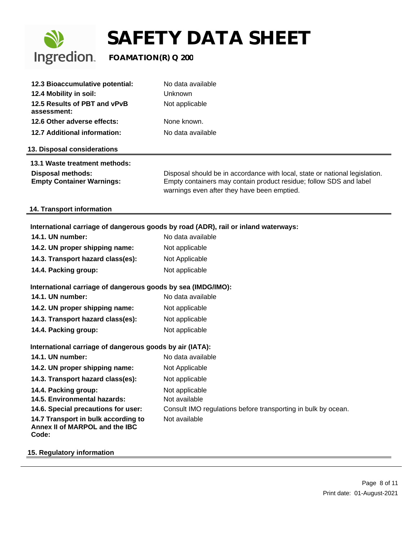

| 12.3 Bioaccumulative potential:                              | No data available                                                                                                                                                                                |
|--------------------------------------------------------------|--------------------------------------------------------------------------------------------------------------------------------------------------------------------------------------------------|
| 12.4 Mobility in soil:                                       | Unknown                                                                                                                                                                                          |
| 12.5 Results of PBT and vPvB<br>assessment:                  | Not applicable                                                                                                                                                                                   |
| 12.6 Other adverse effects:                                  | None known.                                                                                                                                                                                      |
| 12.7 Additional information:                                 | No data available                                                                                                                                                                                |
| 13. Disposal considerations                                  |                                                                                                                                                                                                  |
| 13.1 Waste treatment methods:                                |                                                                                                                                                                                                  |
| <b>Disposal methods:</b><br><b>Empty Container Warnings:</b> | Disposal should be in accordance with local, state or national legislation.<br>Empty containers may contain product residue; follow SDS and label<br>warnings even after they have been emptied. |

#### **14. Transport information**

## **International carriage of dangerous goods by road (ADR), rail or inland waterways:**

| 14.1. UN number:                                                               | No data available                                             |
|--------------------------------------------------------------------------------|---------------------------------------------------------------|
| 14.2. UN proper shipping name:                                                 | Not applicable                                                |
| 14.3. Transport hazard class(es):                                              | Not Applicable                                                |
| 14.4. Packing group:                                                           | Not applicable                                                |
| International carriage of dangerous goods by sea (IMDG/IMO):                   |                                                               |
| 14.1. UN number:                                                               | No data available                                             |
| 14.2. UN proper shipping name:                                                 | Not applicable                                                |
| 14.3. Transport hazard class(es):                                              | Not applicable                                                |
| 14.4. Packing group:                                                           | Not applicable                                                |
| International carriage of dangerous goods by air (IATA):                       |                                                               |
| 14.1. UN number:                                                               | No data available                                             |
| 14.2. UN proper shipping name:                                                 | Not Applicable                                                |
| 14.3. Transport hazard class(es):                                              | Not applicable                                                |
| 14.4. Packing group:                                                           | Not applicable                                                |
| 14.5. Environmental hazards:                                                   | Not available                                                 |
| 14.6. Special precautions for user:                                            | Consult IMO regulations before transporting in bulk by ocean. |
| 14.7 Transport in bulk according to<br>Annex II of MARPOL and the IBC<br>Code: | Not available                                                 |

#### **15. Regulatory information**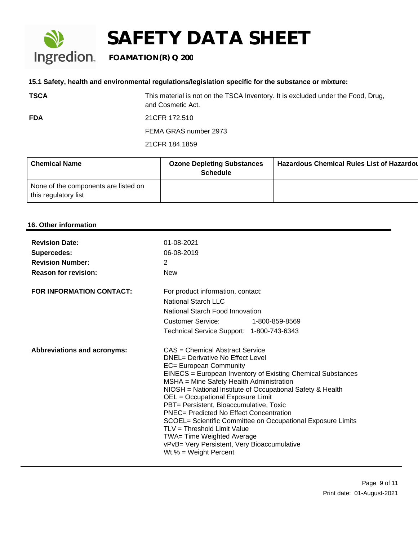## **Ingredion** FOAMATION(R) Q 200

#### **15.1 Safety, health and environmental regulations/legislation specific for the substance or mixture:**

**TSCA** This material is not on the TSCA Inventory. It is excluded under the Food, Drug, and Cosmetic Act. **FDA** 21CFR 172.510

FEMA GRAS number 2973

21CFR 184.1859

| <b>Chemical Name</b>                                         | <b>Ozone Depleting Substances</b><br><b>Schedule</b> | <b>Hazardous Chemical Rules List of Hazardoul</b> |
|--------------------------------------------------------------|------------------------------------------------------|---------------------------------------------------|
| None of the components are listed on<br>this regulatory list |                                                      |                                                   |

#### **16. Other information**

| <b>Revision Date:</b><br><b>Supercedes:</b><br><b>Revision Number:</b><br><b>Reason for revision:</b> | 01-08-2021<br>06-08-2019<br>2<br><b>New</b>                                                                                                                                                                                                                                                                                                                                                                                                                                                                                                                                                                            |
|-------------------------------------------------------------------------------------------------------|------------------------------------------------------------------------------------------------------------------------------------------------------------------------------------------------------------------------------------------------------------------------------------------------------------------------------------------------------------------------------------------------------------------------------------------------------------------------------------------------------------------------------------------------------------------------------------------------------------------------|
| <b>FOR INFORMATION CONTACT:</b>                                                                       | For product information, contact:<br>National Starch LLC<br>National Starch Food Innovation<br>Customer Service: 1-800-859-8569<br>Technical Service Support: 1-800-743-6343                                                                                                                                                                                                                                                                                                                                                                                                                                           |
| <b>Abbreviations and acronyms:</b>                                                                    | CAS = Chemical Abstract Service<br><b>DNEL= Derivative No Effect Level</b><br>EC= European Community<br>EINECS = European Inventory of Existing Chemical Substances<br>MSHA = Mine Safety Health Administration<br>NIOSH = National Institute of Occupational Safety & Health<br>OEL = Occupational Exposure Limit<br>PBT= Persistent, Bioaccumulative, Toxic<br><b>PNEC= Predicted No Effect Concentration</b><br>SCOEL= Scientific Committee on Occupational Exposure Limits<br>TLV = Threshold Limit Value<br>TWA= Time Weighted Average<br>vPvB= Very Persistent, Very Bioaccumulative<br>$Wt.\% = Weight Percent$ |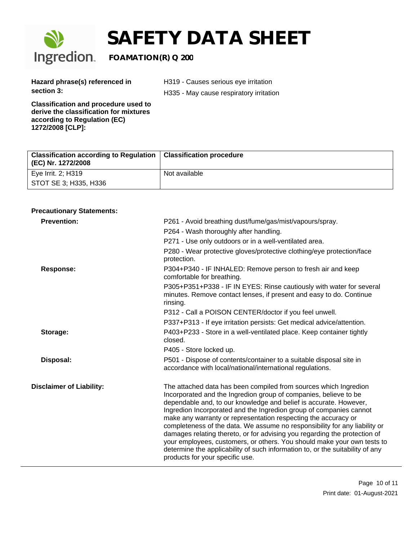

# **SAFETY DATA SHEET**<br>Ingredion. FOAMATION(R) Q 200

## **FOAMATION(R) Q 200**

**Hazard phrase(s) referenced in section 3:** 

H319 - Causes serious eye irritation

H335 - May cause respiratory irritation

**Classification and procedure used to derive the classification for mixtures according to Regulation (EC) 1272/2008 [CLP]:**

| Classification according to Regulation   Classification procedure<br>(EC) Nr. 1272/2008 |               |
|-----------------------------------------------------------------------------------------|---------------|
| Eye Irrit. 2; H319                                                                      | Not available |
| <sup>1</sup> STOT SE 3; H335, H336                                                      |               |

#### **Precautionary Statements:**

| <b>Prevention:</b>              | P261 - Avoid breathing dust/fume/gas/mist/vapours/spray.                                                                                                                                                                                                                                                                                                                                                                                                                                                                                                                                                                                                                                                    |
|---------------------------------|-------------------------------------------------------------------------------------------------------------------------------------------------------------------------------------------------------------------------------------------------------------------------------------------------------------------------------------------------------------------------------------------------------------------------------------------------------------------------------------------------------------------------------------------------------------------------------------------------------------------------------------------------------------------------------------------------------------|
|                                 | P264 - Wash thoroughly after handling.                                                                                                                                                                                                                                                                                                                                                                                                                                                                                                                                                                                                                                                                      |
|                                 | P271 - Use only outdoors or in a well-ventilated area.                                                                                                                                                                                                                                                                                                                                                                                                                                                                                                                                                                                                                                                      |
|                                 | P280 - Wear protective gloves/protective clothing/eye protection/face<br>protection.                                                                                                                                                                                                                                                                                                                                                                                                                                                                                                                                                                                                                        |
| <b>Response:</b>                | P304+P340 - IF INHALED: Remove person to fresh air and keep<br>comfortable for breathing.                                                                                                                                                                                                                                                                                                                                                                                                                                                                                                                                                                                                                   |
|                                 | P305+P351+P338 - IF IN EYES: Rinse cautiously with water for several<br>minutes. Remove contact lenses, if present and easy to do. Continue<br>rinsing.                                                                                                                                                                                                                                                                                                                                                                                                                                                                                                                                                     |
|                                 | P312 - Call a POISON CENTER/doctor if you feel unwell.                                                                                                                                                                                                                                                                                                                                                                                                                                                                                                                                                                                                                                                      |
|                                 | P337+P313 - If eye irritation persists: Get medical advice/attention.                                                                                                                                                                                                                                                                                                                                                                                                                                                                                                                                                                                                                                       |
| Storage:                        | P403+P233 - Store in a well-ventilated place. Keep container tightly<br>closed.                                                                                                                                                                                                                                                                                                                                                                                                                                                                                                                                                                                                                             |
|                                 | P405 - Store locked up.                                                                                                                                                                                                                                                                                                                                                                                                                                                                                                                                                                                                                                                                                     |
| Disposal:                       | P501 - Dispose of contents/container to a suitable disposal site in<br>accordance with local/national/international regulations.                                                                                                                                                                                                                                                                                                                                                                                                                                                                                                                                                                            |
| <b>Disclaimer of Liability:</b> | The attached data has been compiled from sources which Ingredion<br>Incorporated and the Ingredion group of companies, believe to be<br>dependable and, to our knowledge and belief is accurate. However,<br>Ingredion Incorporated and the Ingredion group of companies cannot<br>make any warranty or representation respecting the accuracy or<br>completeness of the data. We assume no responsibility for any liability or<br>damages relating thereto, or for advising you regarding the protection of<br>your employees, customers, or others. You should make your own tests to<br>determine the applicability of such information to, or the suitability of any<br>products for your specific use. |
|                                 |                                                                                                                                                                                                                                                                                                                                                                                                                                                                                                                                                                                                                                                                                                             |